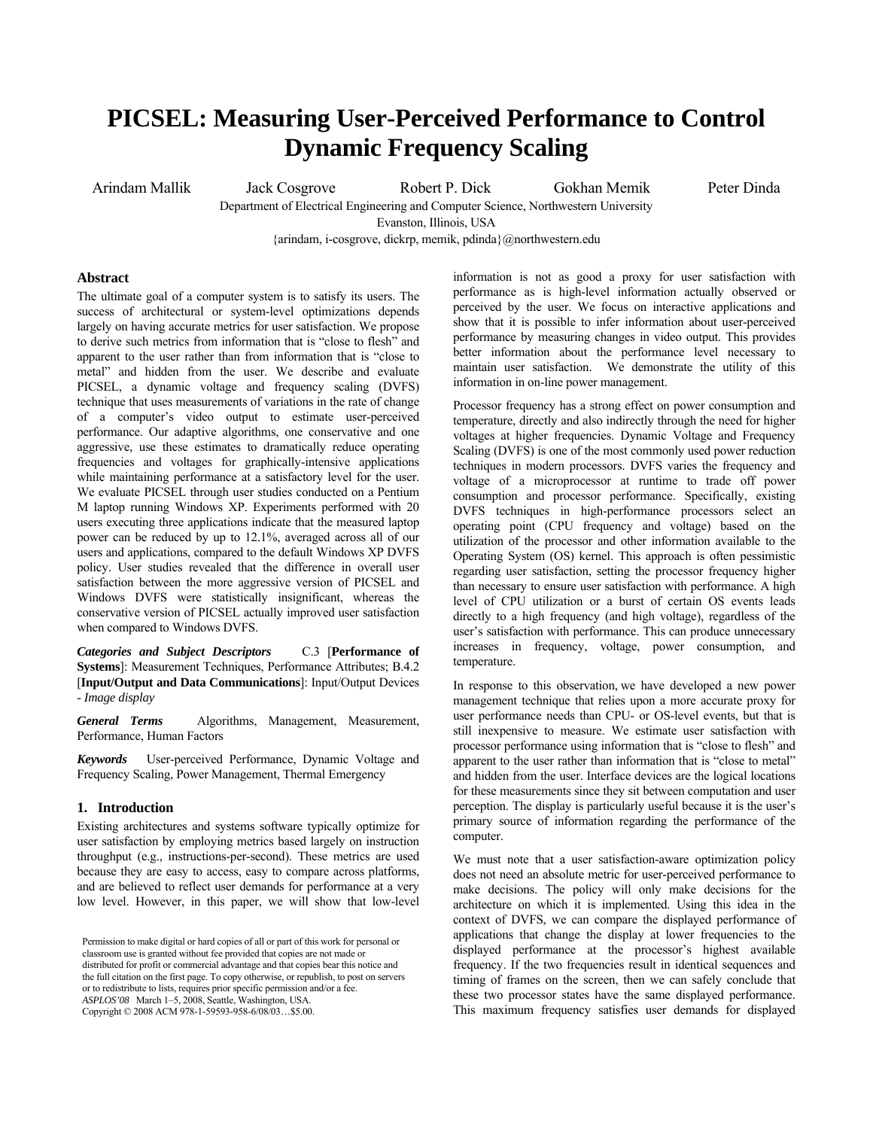# **PICSEL: Measuring User-Perceived Performance to Control Dynamic Frequency Scaling**

Arindam Mallik Jack Cosgrove Robert P. Dick Gokhan Memik Peter Dinda

Department of Electrical Engineering and Computer Science, Northwestern University

Evanston, Illinois, USA

{arindam, i-cosgrove, dickrp, memik, pdinda}@northwestern.edu

# **Abstract**

The ultimate goal of a computer system is to satisfy its users. The success of architectural or system-level optimizations depends largely on having accurate metrics for user satisfaction. We propose to derive such metrics from information that is "close to flesh" and apparent to the user rather than from information that is "close to metal" and hidden from the user. We describe and evaluate PICSEL, a dynamic voltage and frequency scaling (DVFS) technique that uses measurements of variations in the rate of change of a computer's video output to estimate user-perceived performance. Our adaptive algorithms, one conservative and one aggressive, use these estimates to dramatically reduce operating frequencies and voltages for graphically-intensive applications while maintaining performance at a satisfactory level for the user. We evaluate PICSEL through user studies conducted on a Pentium M laptop running Windows XP. Experiments performed with 20 users executing three applications indicate that the measured laptop power can be reduced by up to 12.1%, averaged across all of our users and applications, compared to the default Windows XP DVFS policy. User studies revealed that the difference in overall user satisfaction between the more aggressive version of PICSEL and Windows DVFS were statistically insignificant, whereas the conservative version of PICSEL actually improved user satisfaction when compared to Windows DVFS.

*Categories and Subject Descriptors* C.3 [**Performance of Systems**]: Measurement Techniques, Performance Attributes; B.4.2 [**Input/Output and Data Communications**]: Input/Output Devices - *Image display* 

*General Terms* Algorithms, Management, Measurement, Performance, Human Factors

*Keywords* User-perceived Performance, Dynamic Voltage and Frequency Scaling, Power Management, Thermal Emergency

# **1. Introduction**

Existing architectures and systems software typically optimize for user satisfaction by employing metrics based largely on instruction throughput (e.g., instructions-per-second). These metrics are used because they are easy to access, easy to compare across platforms, and are believed to reflect user demands for performance at a very low level. However, in this paper, we will show that low-level

information is not as good a proxy for user satisfaction with performance as is high-level information actually observed or perceived by the user. We focus on interactive applications and show that it is possible to infer information about user-perceived performance by measuring changes in video output. This provides better information about the performance level necessary to maintain user satisfaction. We demonstrate the utility of this information in on-line power management.

Processor frequency has a strong effect on power consumption and temperature, directly and also indirectly through the need for higher voltages at higher frequencies. Dynamic Voltage and Frequency Scaling (DVFS) is one of the most commonly used power reduction techniques in modern processors. DVFS varies the frequency and voltage of a microprocessor at runtime to trade off power consumption and processor performance. Specifically, existing DVFS techniques in high-performance processors select an operating point (CPU frequency and voltage) based on the utilization of the processor and other information available to the Operating System (OS) kernel. This approach is often pessimistic regarding user satisfaction, setting the processor frequency higher than necessary to ensure user satisfaction with performance. A high level of CPU utilization or a burst of certain OS events leads directly to a high frequency (and high voltage), regardless of the user's satisfaction with performance. This can produce unnecessary increases in frequency, voltage, power consumption, and temperature.

In response to this observation, we have developed a new power management technique that relies upon a more accurate proxy for user performance needs than CPU- or OS-level events, but that is still inexpensive to measure. We estimate user satisfaction with processor performance using information that is "close to flesh" and apparent to the user rather than information that is "close to metal" and hidden from the user. Interface devices are the logical locations for these measurements since they sit between computation and user perception. The display is particularly useful because it is the user's primary source of information regarding the performance of the computer.

We must note that a user satisfaction-aware optimization policy does not need an absolute metric for user-perceived performance to make decisions. The policy will only make decisions for the architecture on which it is implemented. Using this idea in the context of DVFS, we can compare the displayed performance of applications that change the display at lower frequencies to the displayed performance at the processor's highest available frequency. If the two frequencies result in identical sequences and timing of frames on the screen, then we can safely conclude that these two processor states have the same displayed performance. This maximum frequency satisfies user demands for displayed

Permission to make digital or hard copies of all or part of this work for personal or classroom use is granted without fee provided that copies are not made or distributed for profit or commercial advantage and that copies bear this notice and the full citation on the first page. To copy otherwise, or republish, to post on servers or to redistribute to lists, requires prior specific permission and/or a fee. *ASPLOS'08* March 1–5, 2008, Seattle, Washington, USA. Copyright © 2008 ACM 978-1-59593-958-6/08/03…\$5.00.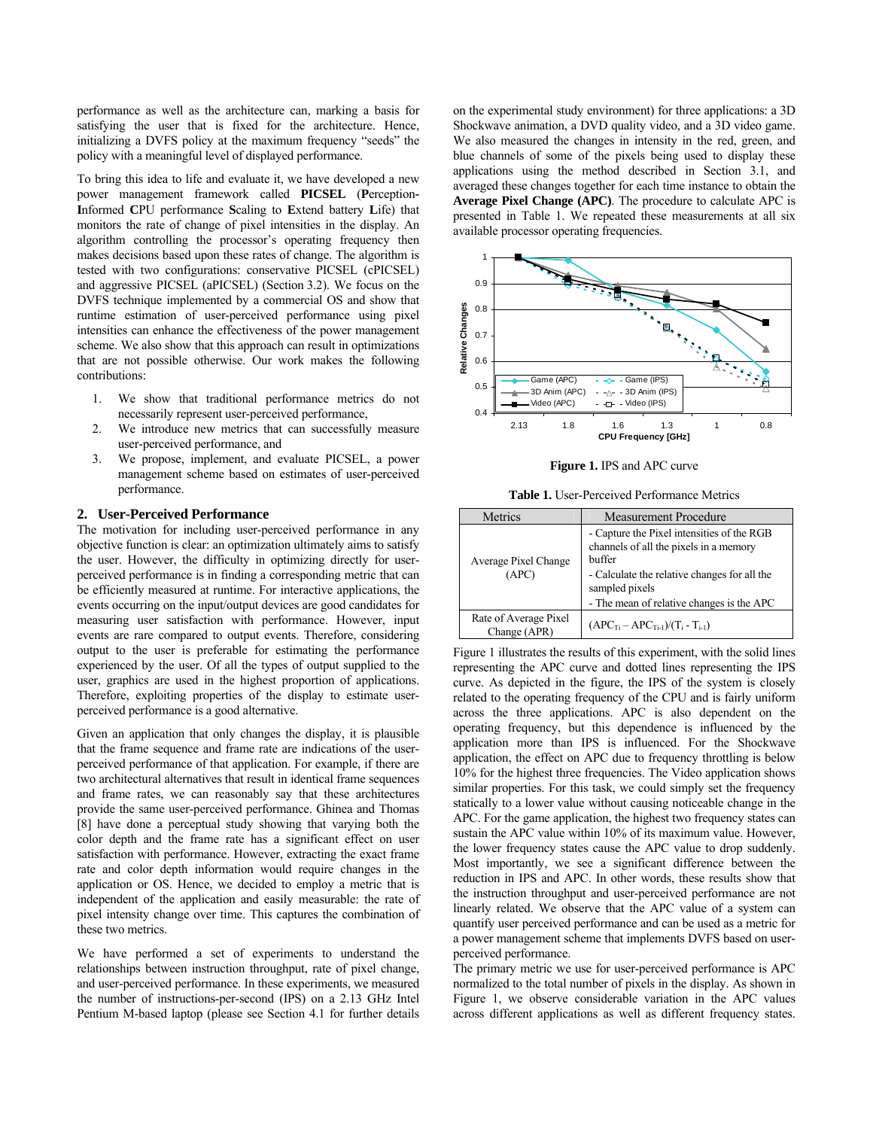performance as well as the architecture can, marking a basis for satisfying the user that is fixed for the architecture. Hence, initializing a DVFS policy at the maximum frequency "seeds" the policy with a meaningful level of displayed performance.

To bring this idea to life and evaluate it, we have developed a new power management framework called **PICSEL** (**P**erception**-I**nformed **C**PU performance **S**caling to **E**xtend battery **L**ife) that monitors the rate of change of pixel intensities in the display. An algorithm controlling the processor's operating frequency then makes decisions based upon these rates of change. The algorithm is tested with two configurations: conservative PICSEL (cPICSEL) and aggressive PICSEL (aPICSEL) (Section [3.2](#page-3-0)). We focus on the DVFS technique implemented by a commercial OS and show that runtime estimation of user-perceived performance using pixel intensities can enhance the effectiveness of the power management scheme. We also show that this approach can result in optimizations that are not possible otherwise. Our work makes the following contributions:

- 1. We show that traditional performance metrics do not necessarily represent user-perceived performance,
- We introduce new metrics that can successfully measure user-perceived performance, and
- 3. We propose, implement, and evaluate PICSEL, a power management scheme based on estimates of user-perceived performance.

## <span id="page-1-0"></span>**2. User-Perceived Performance**

The motivation for including user-perceived performance in any objective function is clear: an optimization ultimately aims to satisfy the user. However, the difficulty in optimizing directly for userperceived performance is in finding a corresponding metric that can be efficiently measured at runtime. For interactive applications, the events occurring on the input/output devices are good candidates for measuring user satisfaction with performance. However, input events are rare compared to output events. Therefore, considering output to the user is preferable for estimating the performance experienced by the user. Of all the types of output supplied to the user, graphics are used in the highest proportion of applications. Therefore, exploiting properties of the display to estimate userperceived performance is a good alternative.

Given an application that only changes the display, it is plausible that the frame sequence and frame rate are indications of the userperceived performance of that application. For example, if there are two architectural alternatives that result in identical frame sequences and frame rates, we can reasonably say that these architectures provide the same user-perceived performance. Ghinea and Thomas [\[8\]](#page-9-0) have done a perceptual study showing that varying both the color depth and the frame rate has a significant effect on user satisfaction with performance. However, extracting the exact frame rate and color depth information would require changes in the application or OS. Hence, we decided to employ a metric that is independent of the application and easily measurable: the rate of pixel intensity change over time. This captures the combination of these two metrics.

We have performed a set of experiments to understand the relationships between instruction throughput, rate of pixel change, and user-perceived performance. In these experiments, we measured the number of instructions-per-second (IPS) on a 2.13 GHz Intel Pentium M-based laptop (please see Section 4.1 for further details

on the experimental study environment) for three applications: a 3D Shockwave animation, a DVD quality video, and a 3D video game. We also measured the changes in intensity in the red, green, and blue channels of some of the pixels being used to display these applications using the method described in Section [3.1,](#page-2-0) and averaged these changes together for each time instance to obtain the **Average Pixel Change (APC)**. The procedure to calculate APC is presented in Table 1. We repeated these measurements at all six available processor operating frequencies.



**Figure 1.** IPS and APC curve

**Table 1.** User-Perceived Performance Metrics

| Metrics                               | <b>Measurement Procedure</b>                                                                                                                                                                                  |
|---------------------------------------|---------------------------------------------------------------------------------------------------------------------------------------------------------------------------------------------------------------|
| Average Pixel Change<br>(APC)         | - Capture the Pixel intensities of the RGB<br>channels of all the pixels in a memory<br>buffer<br>- Calculate the relative changes for all the<br>sampled pixels<br>- The mean of relative changes is the APC |
| Rate of Average Pixel<br>Change (APR) | $(APC_{Ti} - APC_{Ti-1})/(T_i - T_{i-1})$                                                                                                                                                                     |

[Figure 1](#page-1-0) illustrates the results of this experiment, with the solid lines representing the APC curve and dotted lines representing the IPS curve. As depicted in the figure, the IPS of the system is closely related to the operating frequency of the CPU and is fairly uniform across the three applications. APC is also dependent on the operating frequency, but this dependence is influenced by the application more than IPS is influenced. For the Shockwave application, the effect on APC due to frequency throttling is below 10% for the highest three frequencies. The Video application shows similar properties. For this task, we could simply set the frequency statically to a lower value without causing noticeable change in the APC. For the game application, the highest two frequency states can sustain the APC value within 10% of its maximum value. However, the lower frequency states cause the APC value to drop suddenly. Most importantly, we see a significant difference between the reduction in IPS and APC. In other words, these results show that the instruction throughput and user-perceived performance are not linearly related. We observe that the APC value of a system can quantify user perceived performance and can be used as a metric for a power management scheme that implements DVFS based on userperceived performance.

The primary metric we use for user-perceived performance is APC normalized to the total number of pixels in the display. As shown in [Figure 1,](#page-1-0) we observe considerable variation in the APC values across different applications as well as different frequency states.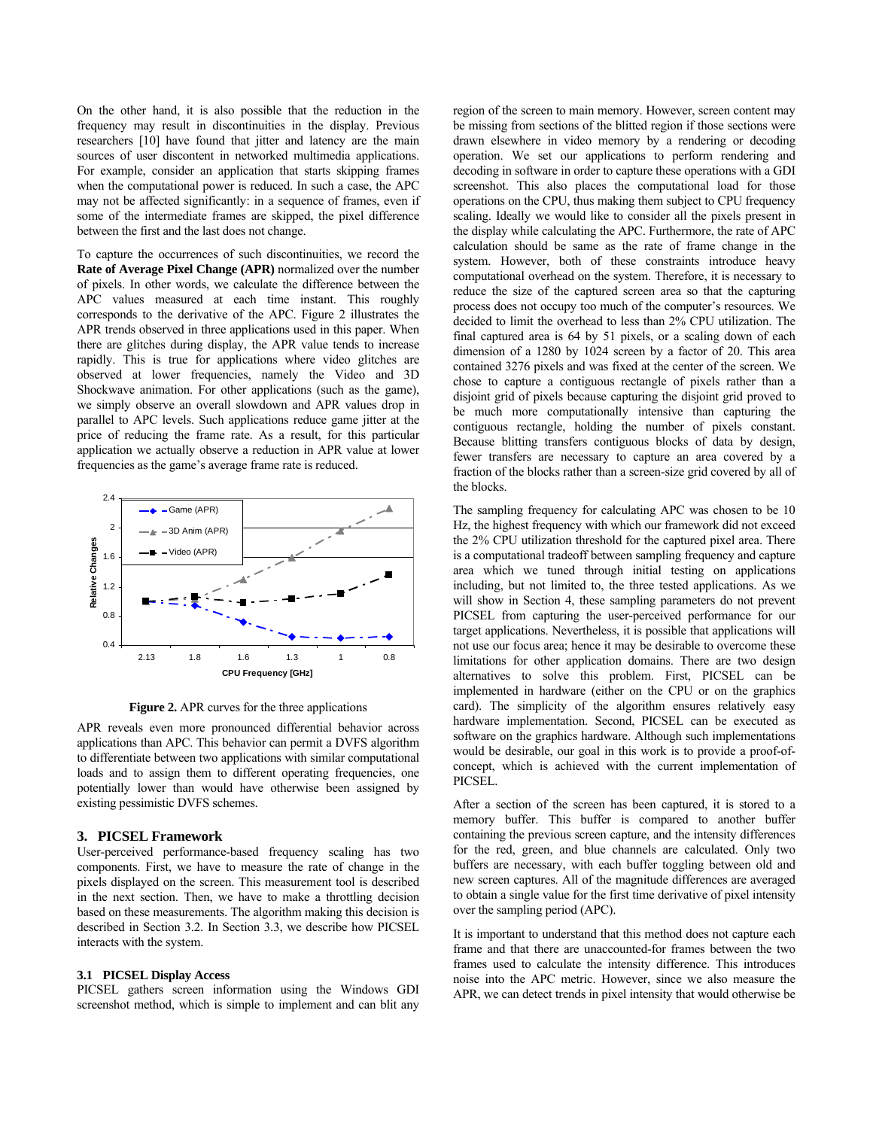On the other hand, it is also possible that the reduction in the frequency may result in discontinuities in the display. Previous researchers [\[10\]](#page-9-1) have found that jitter and latency are the main sources of user discontent in networked multimedia applications. For example, consider an application that starts skipping frames when the computational power is reduced. In such a case, the APC may not be affected significantly: in a sequence of frames, even if some of the intermediate frames are skipped, the pixel difference between the first and the last does not change.

To capture the occurrences of such discontinuities, we record the **Rate of Average Pixel Change (APR)** normalized over the number of pixels. In other words, we calculate the difference between the APC values measured at each time instant. This roughly corresponds to the derivative of the APC. [Figure 2](#page-2-1) illustrates the APR trends observed in three applications used in this paper. When there are glitches during display, the APR value tends to increase rapidly. This is true for applications where video glitches are observed at lower frequencies, namely the Video and 3D Shockwave animation. For other applications (such as the game), we simply observe an overall slowdown and APR values drop in parallel to APC levels. Such applications reduce game jitter at the price of reducing the frame rate. As a result, for this particular application we actually observe a reduction in APR value at lower frequencies as the game's average frame rate is reduced.



**Figure 2.** APR curves for the three applications

<span id="page-2-1"></span>APR reveals even more pronounced differential behavior across applications than APC. This behavior can permit a DVFS algorithm to differentiate between two applications with similar computational loads and to assign them to different operating frequencies, one potentially lower than would have otherwise been assigned by existing pessimistic DVFS schemes.

## **3. PICSEL Framework**

User-perceived performance-based frequency scaling has two components. First, we have to measure the rate of change in the pixels displayed on the screen. This measurement tool is described in the next section. Then, we have to make a throttling decision based on these measurements. The algorithm making this decision is described in Section [3.2.](#page-3-0) In Section [3.3](#page-3-1), we describe how PICSEL interacts with the system.

# <span id="page-2-0"></span>**3.1 PICSEL Display Access**

PICSEL gathers screen information using the Windows GDI screenshot method, which is simple to implement and can blit any

region of the screen to main memory. However, screen content may be missing from sections of the blitted region if those sections were drawn elsewhere in video memory by a rendering or decoding operation. We set our applications to perform rendering and decoding in software in order to capture these operations with a GDI screenshot. This also places the computational load for those operations on the CPU, thus making them subject to CPU frequency scaling. Ideally we would like to consider all the pixels present in the display while calculating the APC. Furthermore, the rate of APC calculation should be same as the rate of frame change in the system. However, both of these constraints introduce heavy computational overhead on the system. Therefore, it is necessary to reduce the size of the captured screen area so that the capturing process does not occupy too much of the computer's resources. We decided to limit the overhead to less than 2% CPU utilization. The final captured area is 64 by 51 pixels, or a scaling down of each dimension of a 1280 by 1024 screen by a factor of 20. This area contained 3276 pixels and was fixed at the center of the screen. We chose to capture a contiguous rectangle of pixels rather than a disjoint grid of pixels because capturing the disjoint grid proved to be much more computationally intensive than capturing the contiguous rectangle, holding the number of pixels constant. Because blitting transfers contiguous blocks of data by design, fewer transfers are necessary to capture an area covered by a fraction of the blocks rather than a screen-size grid covered by all of the blocks.

The sampling frequency for calculating APC was chosen to be 10 Hz, the highest frequency with which our framework did not exceed the 2% CPU utilization threshold for the captured pixel area. There is a computational tradeoff between sampling frequency and capture area which we tuned through initial testing on applications including, but not limited to, the three tested applications. As we will show in Section [4,](#page-3-2) these sampling parameters do not prevent PICSEL from capturing the user-perceived performance for our target applications. Nevertheless, it is possible that applications will not use our focus area; hence it may be desirable to overcome these limitations for other application domains. There are two design alternatives to solve this problem. First, PICSEL can be implemented in hardware (either on the CPU or on the graphics card). The simplicity of the algorithm ensures relatively easy hardware implementation. Second, PICSEL can be executed as software on the graphics hardware. Although such implementations would be desirable, our goal in this work is to provide a proof-ofconcept, which is achieved with the current implementation of PICSEL.

After a section of the screen has been captured, it is stored to a memory buffer. This buffer is compared to another buffer containing the previous screen capture, and the intensity differences for the red, green, and blue channels are calculated. Only two buffers are necessary, with each buffer toggling between old and new screen captures. All of the magnitude differences are averaged to obtain a single value for the first time derivative of pixel intensity over the sampling period (APC).

It is important to understand that this method does not capture each frame and that there are unaccounted-for frames between the two frames used to calculate the intensity difference. This introduces noise into the APC metric. However, since we also measure the APR, we can detect trends in pixel intensity that would otherwise be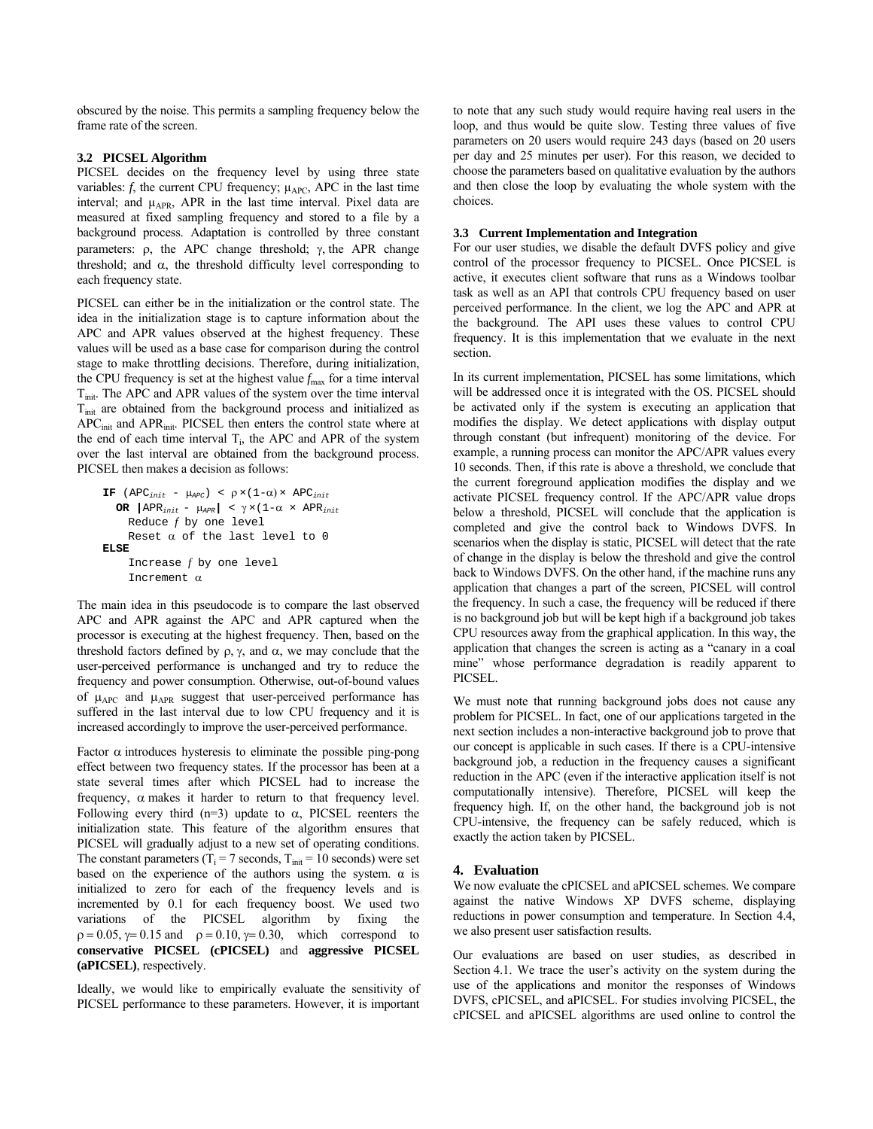obscured by the noise. This permits a sampling frequency below the frame rate of the screen.

# <span id="page-3-0"></span>**3.2 PICSEL Algorithm**

<span id="page-3-1"></span>PICSEL decides on the frequency level by using three state variables:  $f$ , the current CPU frequency;  $\mu_{APC}$ , APC in the last time interval; and  $\mu_{APR}$ , APR in the last time interval. Pixel data are measured at fixed sampling frequency and stored to a file by a background process. Adaptation is controlled by three constant parameters: ρ, the APC change threshold; γ, the APR change threshold; and  $\alpha$ , the threshold difficulty level corresponding to each frequency state.

PICSEL can either be in the initialization or the control state. The idea in the initialization stage is to capture information about the APC and APR values observed at the highest frequency. These values will be used as a base case for comparison during the control stage to make throttling decisions. Therefore, during initialization, the CPU frequency is set at the highest value  $f_{\text{max}}$  for a time interval T<sub>init</sub>. The APC and APR values of the system over the time interval  $T<sub>init</sub>$  are obtained from the background process and initialized as APCinit and APRinit. PICSEL then enters the control state where at the end of each time interval  $T_i$ , the APC and APR of the system over the last interval are obtained from the background process. PICSEL then makes a decision as follows:

```
IF (APC<sub>init</sub> - \mu_{APC}) < \rho \times (1-\alpha) \times APC_{init}OR |APR_{init} - \mu_{APR}| < \gamma \times (1-\alpha \times APR_{init})Reduce f by one level 
      Re
set α of the last level to 0 
ELSE 
      Increase f by one level 
      Increment α
```
The main idea in this pseudocode is to compare the last observed APC and APR against the APC and APR captured when the processor is executing at the highest frequency. Then, based on the threshold factors defined by ρ, γ, and  $\alpha$ , we may conclude that the user-perceived performance is unchanged and try to reduce the frequency and power consumption. Otherwise, out-of-bound values of μAPC and μAPR suggest that user-perceived performance has suffered in the last interval due to low CPU frequency and it is increased accordingly to improve the user-perceived performance.

<span id="page-3-2"></span>Factor  $\alpha$  introduces hysteresis to eliminate the possible ping-pong effect between two frequency states. If the processor has been at a state several times after which PICSEL had to increase the frequency,  $\alpha$  makes it harder to return to that frequency level. Following every third (n=3) update to  $\alpha$ . PICSEL reenters the initialization state. This feature of the algorithm ensures that PICSEL will gradually adjust to a new set of operating conditions. The constant parameters ( $T_i = 7$  seconds,  $T_{init} = 10$  seconds) were set based on the experience of the authors using the system.  $\alpha$  is initialized to zero for each of the frequency levels and is incremented by 0.1 for each frequency boost. We used two variations of the PICSEL algorithm by fixing the  $\rho = 0.05$ ,  $\gamma = 0.15$  and  $\rho = 0.10$ ,  $\gamma = 0.30$ , which correspond to **conservative PICSEL (cPICSEL)** and **aggressive PICSEL (aPICSEL)**, respectively.

Ideally, we would like to empirically evaluate the sensitivity of PICSEL performance to these parameters. However, it is important

to note that any such study would require having real users in the loop, and thus would be quite slow. Testing three values of five parameters on 20 users would require 243 days (based on 20 users per day and 25 minutes per user). For this reason, we decided to choose the parameters based on qualitative evaluation by the authors and then close the loop by evaluating the whole system with the choices.

# **3.3 Current Implementation and Integration**

For our user studies, we disable the default DVFS policy and give control of the processor frequency to PICSEL. Once PICSEL is active, it executes client software that runs as a Windows toolbar task as well as an API that controls CPU frequency based on user perceived performance. In the client, we log the APC and APR at the background. The API uses these values to control CPU frequency. It is this implementation that we evaluate in the next section.

In its current implementation, PICSEL has some limitations, which will be addressed once it is integrated with the OS. PICSEL should be activated only if the system is executing an application that modifies the display. We detect applications with display output through constant (but infrequent) monitoring of the device. For example, a running process can monitor the APC/APR values every 10 seconds. Then, if this rate is above a threshold, we conclude that the current foreground application modifies the display and we activate PICSEL frequency control. If the APC/APR value drops below a threshold, PICSEL will conclude that the application is completed and give the control back to Windows DVFS. In scenarios when the display is static, PICSEL will detect that the rate of change in the display is below the threshold and give the control back to Windows DVFS. On the other hand, if the machine runs any application that changes a part of the screen, PICSEL will control the frequency. In such a case, the frequency will be reduced if there is no background job but will be kept high if a background job takes CPU resources away from the graphical application. In this way, the application that changes the screen is acting as a "canary in a coal mine" whose performance degradation is readily apparent to PICSEL.

We must note that running background jobs does not cause any problem for PICSEL. In fact, one of our applications targeted in the next section includes a non-interactive background job to prove that our concept is applicable in such cases. If there is a CPU-intensive background job, a reduction in the frequency causes a significant reduction in the APC (even if the interactive application itself is not computationally intensive). Therefore, PICSEL will keep the frequency high. If, on the other hand, the background job is not CPU-intensive, the frequency can be safely reduced, which is exactly the action taken by PICSEL.

# **4. Evaluation**

We now evaluate the cPICSEL and aPICSEL schemes. We compare against the native Windows XP DVFS scheme, displaying reductions in power consumption and temperature. In Section [4.4,](#page-7-0) we also present user satisfaction results.

Our evaluations are based on user studies, as described in Section [4.1](#page-4-0). We trace the user's activity on the system during the use of the applications and monitor the responses of Windows DVFS, cPICSEL, and aPICSEL. For studies involving PICSEL, the cPICSEL and aPICSEL algorithms are used online to control the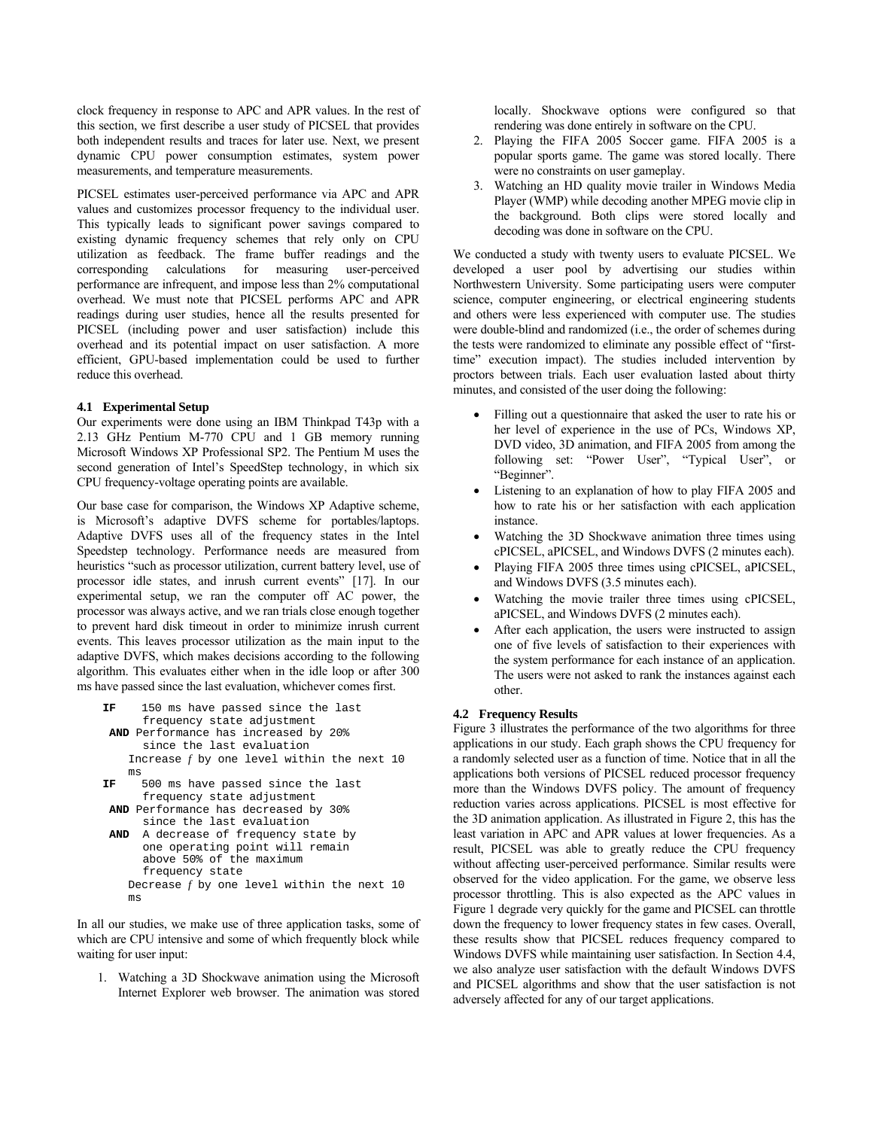clock frequency in response to APC and APR values. In the rest of this section, we first describe a user study of PICSEL that provides both independent results and traces for later use. Next, we present dynamic CPU power consumption estimates, system power measurements, and temperature measurements.

PICSEL estimates user-perceived performance via APC and APR values and customizes processor frequency to the individual user. This typically leads to significant power savings compared to existing dynamic frequency schemes that rely only on CPU utilization as feedback. The frame buffer readings and the corresponding calculations for measuring user-perceived performance are infrequent, and impose less than 2% computational overhead. We must note that PICSEL performs APC and APR readings during user studies, hence all the results presented for PICSEL (including power and user satisfaction) include this overhead and its potential impact on user satisfaction. A more efficient, GPU-based implementation could be used to further reduce this overhead.

# <span id="page-4-0"></span>**4.1 Experimental Setup**

Our experiments were done using an IBM Thinkpad T43p with a 2.13 GHz Pentium M-770 CPU and 1 GB memory running Microsoft Windows XP Professional SP2. The Pentium M uses the second generation of Intel's SpeedStep technology, in which six CPU frequency-voltage operating points are available.

Our base case for comparison, the Windows XP Adaptive scheme, is Microsoft's adaptive DVFS scheme for portables/laptops. Adaptive DVFS uses all of the frequency states in the Intel Speedstep technology. Performance needs are measured from heuristics "such as processor utilization, current battery level, use of processor idle states, and inrush current events" [\[17\].](#page-9-2) In our experimental setup, we ran the computer off AC power, the processor was always active, and we ran trials close enough together to prevent hard disk timeout in order to minimize inrush current events. This leaves processor utilization as the main input to the adaptive DVFS, which makes decisions according to the following algorithm. This evaluates either when in the idle loop or after 300 ms have passed since the last evaluation, whichever comes first.

```
IF 150 ms have passed since the last 
       frequency state adjustment 
 AND Performance has increased by 20% 
       since the last evaluation 
    Increase f by one level within the next 10 
    ms 
IF 500 ms have passed since the last 
       frequency state adjustment 
 AND Performance has decreased by 30% 
       since the last evaluation 
 AND A decrease of frequency state by 
       one operating point will remain 
       above 50% of the maximum 
       frequency state 
    Decrease f by one level within the next 10 
    ms
```
In all our studies, we make use of three application tasks, some of which are CPU intensive and some of which frequently block while waiting for user input:

1. Watching a 3D Shockwave animation using the Microsoft Internet Explorer web browser. The animation was stored

locally. Shockwave options were configured so that rendering was done entirely in software on the CPU.

- 2. Playing the FIFA 2005 Soccer game. FIFA 2005 is a popular sports game. The game was stored locally. There were no constraints on user gameplay.
- 3. Watching an HD quality movie trailer in Windows Media Player (WMP) while decoding another MPEG movie clip in the background. Both clips were stored locally and decoding was done in software on the CPU.

We conducted a study with twenty users to evaluate PICSEL. We developed a user pool by advertising our studies within Northwestern University. Some participating users were computer science, computer engineering, or electrical engineering students and others were less experienced with computer use. The studies were double-blind and randomized (i.e., the order of schemes during the tests were randomized to eliminate any possible effect of "firsttime" execution impact). The studies included intervention by proctors between trials. Each user evaluation lasted about thirty minutes, and consisted of the user doing the following:

- Filling out a questionnaire that asked the user to rate his or her level of experience in the use of PCs, Windows XP, DVD video, 3D animation, and FIFA 2005 from among the following set: "Power User", "Typical User", or "Beginner".
- Listening to an explanation of how to play FIFA 2005 and how to rate his or her satisfaction with each application instance.
- Watching the 3D Shockwave animation three times using cPICSEL, aPICSEL, and Windows DVFS (2 minutes each).
- Playing FIFA 2005 three times using cPICSEL, aPICSEL, and Windows DVFS (3.5 minutes each).
- Watching the movie trailer three times using cPICSEL. aPICSEL, and Windows DVFS (2 minutes each).
- After each application, the users were instructed to assign one of five levels of satisfaction to their experiences with the system performance for each instance of an application. The users were not asked to rank the instances against each other.

# **4.2 Frequency Results**

[Figure 3](#page-5-0) illustrates the performance of the two algorithms for three applications in our study. Each graph shows the CPU frequency for a randomly selected user as a function of time. Notice that in all the applications both versions of PICSEL reduced processor frequency more than the Windows DVFS policy. The amount of frequency reduction varies across applications. PICSEL is most effective for the 3D animation application. As illustrated in Figure 2, this has the least variation in APC and APR values at lower frequencies. As a result, PICSEL was able to greatly reduce the CPU frequency without affecting user-perceived performance. Similar results were observed for the video application. For the game, we observe less processor throttling. This is also expected as the APC values in [Figure 1](#page-1-0) degrade very quickly for the game and PICSEL can throttle down the frequency to lower frequency states in few cases. Overall, these results show that PICSEL reduces frequency compared to Windows DVFS while maintaining user satisfaction. In Section [4.4,](#page-7-0) we also analyze user satisfaction with the default Windows DVFS and PICSEL algorithms and show that the user satisfaction is not adversely affected for any of our target applications.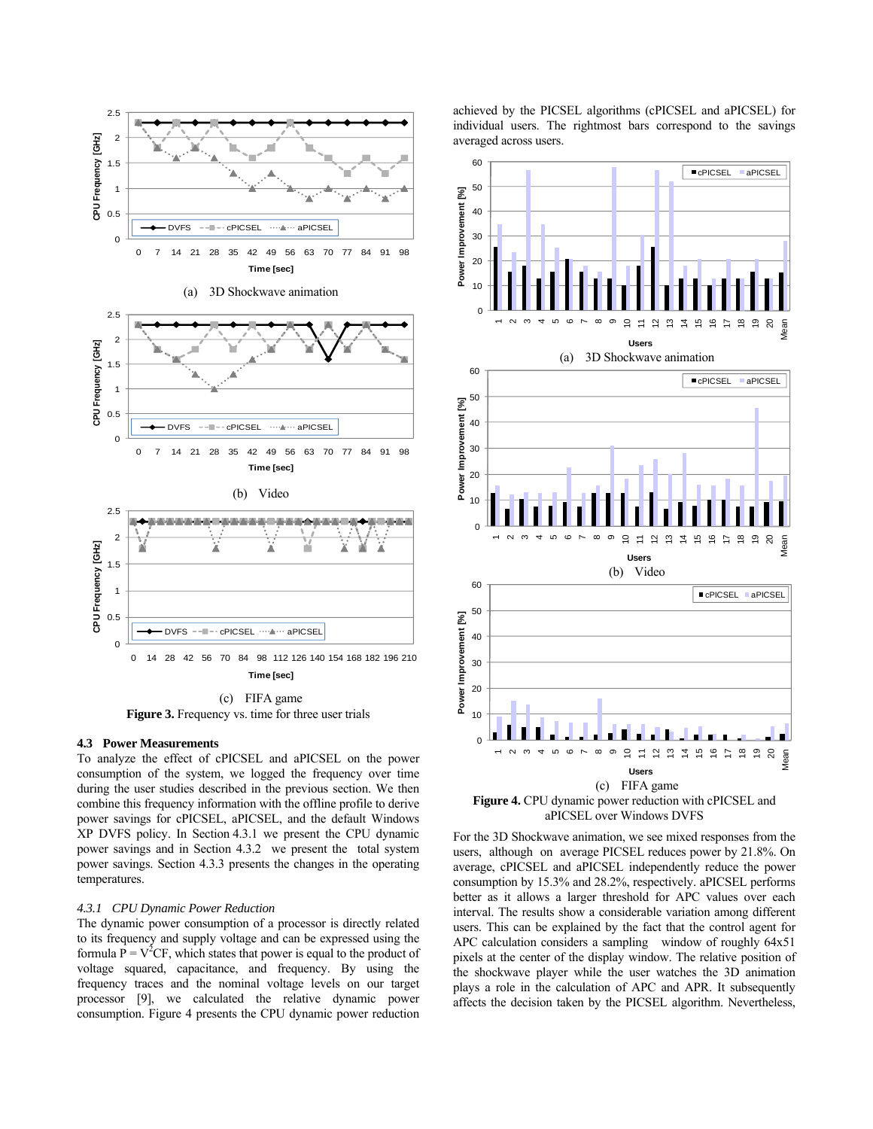

Figure 3. Frequency vs. time for three user trials

## <span id="page-5-0"></span>**4.3 Power Measurements**

<span id="page-5-2"></span>To analyze the effect of cPICSEL and aPICSEL on the power consumption of the system, we logged the frequency over time during the user studies described in the previous section. We then combine this frequency information with the offline profile to derive power savings for cPICSEL, aPICSEL, and the default Windows XP DVFS policy. In Section [4.3.1](#page-5-1) we present the CPU dynamic power savings and in Section [4.3.2](#page-6-0) we present the total system power savings. Section [4.3.3](#page-6-1) presents the changes in the operating temperatures.

# <span id="page-5-1"></span>*4.3.1 CPU Dynamic Power Reduction*

The dynamic power consumption of a processor is directly related to its frequency and supply voltage and can be expressed using the formula  $P = V^2CF$ , which states that power is equal to the product of voltage squared, capacitance, and frequency. By using the frequency traces and the nominal voltage levels on our target processor [\[9\]](#page-9-3), we calculated the relative dynamic power consumption. [Figure 4](#page-5-2) presents the CPU dynamic power reduction

achieved by the PICSEL algorithms (cPICSEL and aPICSEL) for individual users. The rightmost bars correspond to the savings averaged across users.



aPICSEL over Windows DVFS

For the 3D Shockwave animation, we see mixed responses from the users, although on average PICSEL reduces power by 21.8%. On average, cPICSEL and aPICSEL independently reduce the power consumption by 15.3% and 28.2%, respectively. aPICSEL performs better as it allows a larger threshold for APC values over each interval. The results show a considerable variation among different users. This can be explained by the fact that the control agent for APC calculation considers a sampling window of roughly 64x51 pixels at the center of the display window. The relative position of the shockwave player while the user watches the 3D animation plays a role in the calculation of APC and APR. It subsequently affects the decision taken by the PICSEL algorithm. Nevertheless,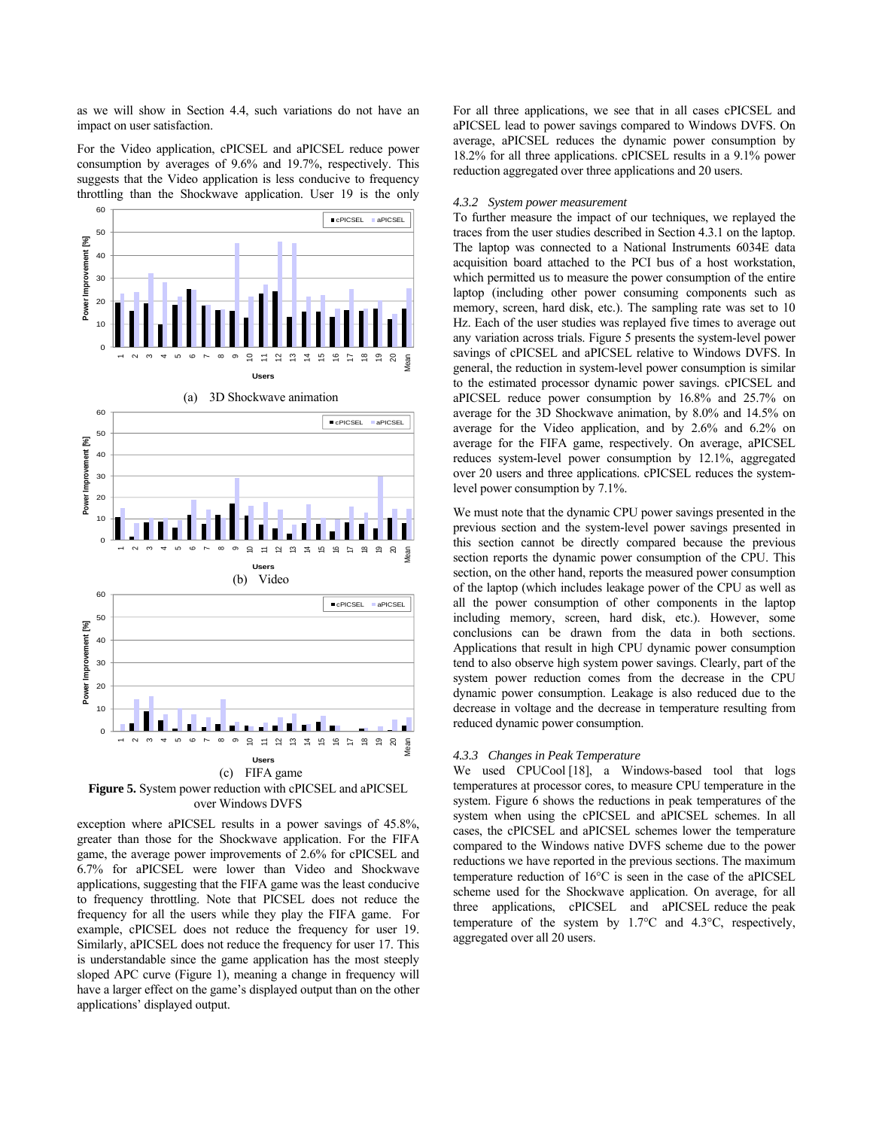as we will show in Section [4.4](#page-7-0), such variations do not have an impact on user satisfaction.

For the Video application, cPICSEL and aPICSEL reduce power consumption by averages of 9.6% and 19.7%, respectively. This suggests that the Video application is less conducive to frequency throttling than the Shockwave application. User 19 is the only

<span id="page-6-0"></span>

<span id="page-6-2"></span><span id="page-6-1"></span>exception where aPICSEL results in a power savings of 45.8%, greater than those for the Shockwave application. For the FIFA game, the average power improvements of 2.6% for cPICSEL and 6.7% for aPICSEL were lower than Video and Shockwave applications, suggesting that the FIFA game was the least conducive to frequency throttling. Note that PICSEL does not reduce the frequency for all the users while they play the FIFA game. For example, cPICSEL does not reduce the frequency for user 19. Similarly, aPICSEL does not reduce the frequency for user 17. This is understandable since the game application has the most steeply sloped APC curve ([Figure 1](#page-1-0)), meaning a change in frequency will have a larger effect on the game's displayed output than on the other applications' displayed output.

For all three applications, we see that in all cases cPICSEL and aPICSEL lead to power savings compared to Windows DVFS. On average, aPICSEL reduces the dynamic power consumption by 18.2% for all three applications. cPICSEL results in a 9.1% power reduction aggregated over three applications and 20 users.

## *4.3.2 System power measurement*

To further measure the impact of our techniques, we replayed the traces from the user studies described in Section 4.3.1 on the laptop. The laptop was connected to a National Instruments 6034E data acquisition board attached to the PCI bus of a host workstation, which permitted us to measure the power consumption of the entire laptop (including other power consuming components such as memory, screen, hard disk, etc.). The sampling rate was set to 10 Hz. Each of the user studies was replayed five times to average out any variation across trials. [Figure 5](#page-6-2) presents the system-level power savings of cPICSEL and aPICSEL relative to Windows DVFS. In general, the reduction in system-level power consumption is similar to the estimated processor dynamic power savings. cPICSEL and aPICSEL reduce power consumption by 16.8% and 25.7% on average for the 3D Shockwave animation, by 8.0% and 14.5% on average for the Video application, and by 2.6% and 6.2% on average for the FIFA game, respectively. On average, aPICSEL reduces system-level power consumption by 12.1%, aggregated over 20 users and three applications. cPICSEL reduces the systemlevel power consumption by 7.1%.

We must note that the dynamic CPU power savings presented in the previous section and the system-level power savings presented in this section cannot be directly compared because the previous section reports the dynamic power consumption of the CPU. This section, on the other hand, reports the measured power consumption of the laptop (which includes leakage power of the CPU as well as all the power consumption of other components in the laptop including memory, screen, hard disk, etc.). However, some conclusions can be drawn from the data in both sections. Applications that result in high CPU dynamic power consumption tend to also observe high system power savings. Clearly, part of the system power reduction comes from the decrease in the CPU dynamic power consumption. Leakage is also reduced due to the decrease in voltage and the decrease in temperature resulting from reduced dynamic power consumption.

## *4.3.3 Changes in Peak Temperature*

We used CPUCool [\[18\]](#page-9-4), a Windows-based tool that logs temperatures at processor cores, to measure CPU temperature in the system. [Figure 6](#page-7-1) shows the reductions in peak temperatures of the system when using the cPICSEL and aPICSEL schemes. In all cases, the cPICSEL and aPICSEL schemes lower the temperature compared to the Windows native DVFS scheme due to the power reductions we have reported in the previous sections. The maximum temperature reduction of 16°C is seen in the case of the aPICSEL scheme used for the Shockwave application. On average, for all three applications, cPICSEL and aPICSEL reduce the peak temperature of the system by 1.7°C and 4.3°C, respectively, aggregated over all 20 users.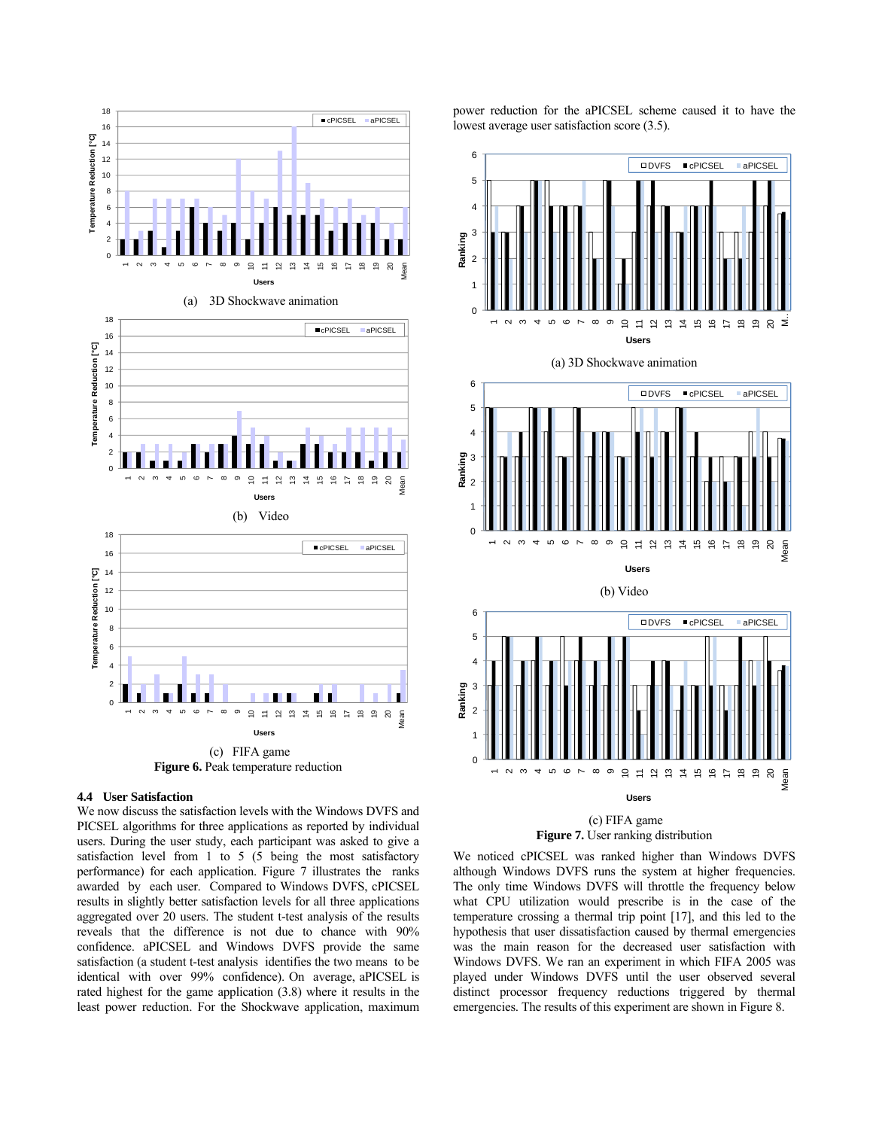

#### <span id="page-7-1"></span><span id="page-7-0"></span>**4.4 User Satisfaction**

<span id="page-7-2"></span>We now discuss the satisfaction levels with the Windows DVFS and PICSEL algorithms for three applications as reported by individual users. During the user study, each participant was asked to give a satisfaction level from 1 to 5 (5 being the most satisfactory performance) for each application. [Figure 7](#page-7-2) illustrates the ranks awarded by each user. Compared to Windows DVFS, cPICSEL results in slightly better satisfaction levels for all three applications aggregated over 20 users. The student t-test analysis of the results reveals that the difference is not due to chance with 90% confidence. aPICSEL and Windows DVFS provide the same satisfaction (a student t-test analysis identifies the two means to be identical with over 99% confidence). On average, aPICSEL is rated highest for the game application (3.8) where it results in the least power reduction. For the Shockwave application, maximum power reduction for the aPICSEL scheme caused it to have the lowest average user satisfaction score (3.5).



**Users**

(b) Video



**Figure 7.** User ranking distribution

We noticed cPICSEL was ranked higher than Windows DVFS although Windows DVFS runs the system at higher frequencies. The only time Windows DVFS will throttle the frequency below what CPU utilization would prescribe is in the case of the temperature crossing a thermal trip point [\[17\],](#page-9-2) and this led to the hypothesis that user dissatisfaction caused by thermal emergencies was the main reason for the decreased user satisfaction with Windows DVFS. We ran an experiment in which FIFA 2005 was played under Windows DVFS until the user observed several distinct processor frequency reductions triggered by thermal emergencies. The results of this experiment are shown in [Figure 8](#page-8-0).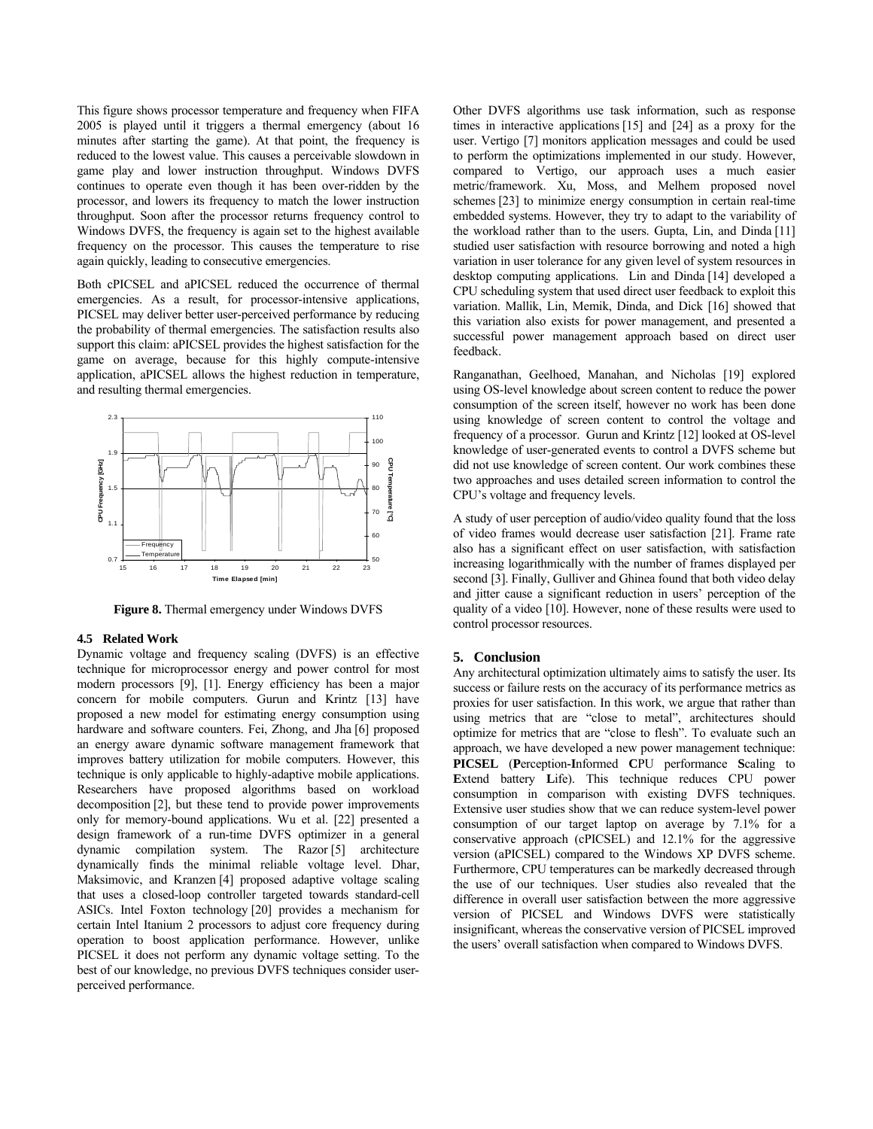This figure shows processor temperature and frequency when FIFA 2005 is played until it triggers a thermal emergency (about 16 minutes after starting the game). At that point, the frequency is reduced to the lowest value. This causes a perceivable slowdown in game play and lower instruction throughput. Windows DVFS continues to operate even though it has been over-ridden by the processor, and lowers its frequency to match the lower instruction throughput. Soon after the processor returns frequency control to Windows DVFS, the frequency is again set to the highest available frequency on the processor. This causes the temperature to rise again quickly, leading to consecutive emergencies.

Both cPICSEL and aPICSEL reduced the occurrence of thermal emergencies. As a result, for processor-intensive applications, PICSEL may deliver better user-perceived performance by reducing the probability of thermal emergencies. The satisfaction results also support this claim: aPICSEL provides the highest satisfaction for the game on average, because for this highly compute-intensive application, aPICSEL allows the highest reduction in temperature, and resulting thermal emergencies.



**Figure 8.** Thermal emergency under Windows DVFS

## <span id="page-8-0"></span>**4.5 Related Work**

Dynamic voltage and frequency scaling (DVFS) is an effective technique for microprocessor energy and power control for most modern processors [\[9\]](#page-9-3), [\[1\].](#page-9-5) Energy efficiency has been a major concern for mobile computers. Gurun and Krintz [\[13\]](#page-9-6) have proposed a new model for estimating energy consumption using hardware and software counters. Fei, Zhong, and Jha [\[6\]](#page-9-7) proposed an energy aware dynamic software management framework that improves battery utilization for mobile computers. However, this technique is only applicable to highly-adaptive mobile applications. Researchers have proposed algorithms based on workload decomposition [\[2\],](#page-9-8) but these tend to provide power improvements only for memory-bound applications. Wu et al. [\[22\]](#page-9-9) presented a design framework of a run-time DVFS optimizer in a general dynamic compilation system. The Razor [\[5\]](#page-9-10) architecture dynamically finds the minimal reliable voltage level. Dhar, Maksimovic, and Kranzen [\[4\]](#page-9-11) proposed adaptive voltage scaling that uses a closed-loop controller targeted towards standard-cell ASICs. Intel Foxton technology [\[20\]](#page-9-12) provides a mechanism for certain Intel Itanium 2 processors to adjust core frequency during operation to boost application performance. However, unlike PICSEL it does not perform any dynamic voltage setting. To the best of our knowledge, no previous DVFS techniques consider userperceived performance.

Other DVFS algorithms use task information, such as response times in interactive applications [\[15\]](#page-9-13) and [\[24\]](#page-9-14) as a proxy for the user. Vertigo [\[7\]](#page-9-15) monitors application messages and could be used to perform the optimizations implemented in our study. However, compared to Vertigo, our approach uses a much easier metric/framework. Xu, Moss, and Melhem proposed novel schemes [\[23\]](#page-9-16) to minimize energy consumption in certain real-time embedded systems. However, they try to adapt to the variability of the workload rather than to the users. Gupta, Lin, and Dinda [\[11\]](#page-9-17) studied user satisfaction with resource borrowing and noted a high variation in user tolerance for any given level of system resources in desktop computing applications. Lin and Dinda [\[14\]](#page-9-18) developed a CPU scheduling system that used direct user feedback to exploit this variation. Mallik, Lin, Memik, Dinda, and Dick [\[16\]](#page-9-19) showed that this variation also exists for power management, and presented a successful power management approach based on direct user feedback.

Ranganathan, Geelhoed, Manahan, and Nicholas [\[19\]](#page-9-20) explored using OS-level knowledge about screen content to reduce the power consumption of the screen itself, however no work has been done using knowledge of screen content to control the voltage and frequency of a processor. Gurun and Krintz [\[12\]](#page-9-21) looked at OS-level knowledge of user-generated events to control a DVFS scheme but did not use knowledge of screen content. Our work combines these two approaches and uses detailed screen information to control the CPU's voltage and frequency levels.

A study of user perception of audio/video quality found that the loss of video frames would decrease user satisfaction [\[21\]](#page-9-22). Frame rate also has a significant effect on user satisfaction, with satisfaction increasing logarithmically with the number of frames displayed per second [\[3\].](#page-9-23) Finally, Gulliver and Ghinea found that both video delay and jitter cause a significant reduction in users' perception of the quality of a video [\[10\]](#page-9-1). However, none of these results were used to control processor resources.

# **5. Conclusion**

Any architectural optimization ultimately aims to satisfy the user. Its success or failure rests on the accuracy of its performance metrics as proxies for user satisfaction. In this work, we argue that rather than using metrics that are "close to metal", architectures should optimize for metrics that are "close to flesh". To evaluate such an approach, we have developed a new power management technique: **PICSEL** (**P**erception**-I**nformed **C**PU performance **S**caling to **E**xtend battery **L**ife). This technique reduces CPU power consumption in comparison with existing DVFS techniques. Extensive user studies show that we can reduce system-level power consumption of our target laptop on average by 7.1% for a conservative approach (cPICSEL) and 12.1% for the aggressive version (aPICSEL) compared to the Windows XP DVFS scheme. Furthermore, CPU temperatures can be markedly decreased through the use of our techniques. User studies also revealed that the difference in overall user satisfaction between the more aggressive version of PICSEL and Windows DVFS were statistically insignificant, whereas the conservative version of PICSEL improved the users' overall satisfaction when compared to Windows DVFS.